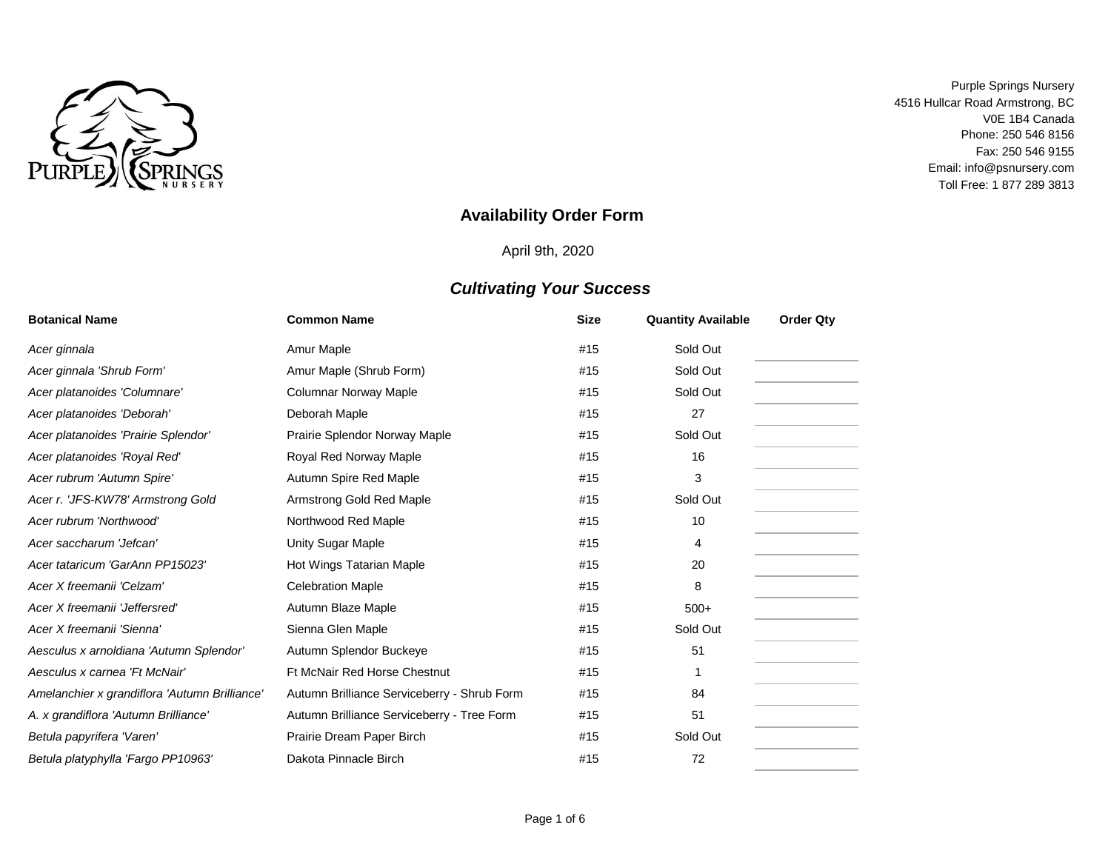

# **Availability Order Form**

April 9th, 2020

| <b>Botanical Name</b>                         | <b>Common Name</b>                          | <b>Size</b> | <b>Quantity Available</b> | <b>Order Qtv</b> |  |
|-----------------------------------------------|---------------------------------------------|-------------|---------------------------|------------------|--|
| Acer ginnala                                  | Amur Maple                                  | #15         | Sold Out                  |                  |  |
| Acer ginnala 'Shrub Form'                     | Amur Maple (Shrub Form)                     | #15         | Sold Out                  |                  |  |
| Acer platanoides 'Columnare'                  | <b>Columnar Norway Maple</b>                | #15         | Sold Out                  |                  |  |
| Acer platanoides 'Deborah'                    | Deborah Maple                               | #15         | 27                        |                  |  |
| Acer platanoides 'Prairie Splendor'           | Prairie Splendor Norway Maple               | #15         | Sold Out                  |                  |  |
| Acer platanoides 'Royal Red'                  | Royal Red Norway Maple                      | #15         | 16                        |                  |  |
| Acer rubrum 'Autumn Spire'                    | Autumn Spire Red Maple                      | #15         | 3                         |                  |  |
| Acer r. 'JFS-KW78' Armstrong Gold             | Armstrong Gold Red Maple                    | #15         | Sold Out                  |                  |  |
| Acer rubrum 'Northwood'                       | Northwood Red Maple                         | #15         | 10                        |                  |  |
| Acer saccharum 'Jefcan'                       | Unity Sugar Maple                           | #15         | 4                         |                  |  |
| Acer tataricum 'GarAnn PP15023'               | Hot Wings Tatarian Maple                    | #15         | 20                        |                  |  |
| Acer X freemanii 'Celzam'                     | <b>Celebration Maple</b>                    | #15         | 8                         |                  |  |
| Acer X freemanii 'Jeffersred'                 | Autumn Blaze Maple                          | #15         | $500+$                    |                  |  |
| Acer X freemanii 'Sienna'                     | Sienna Glen Maple                           | #15         | Sold Out                  |                  |  |
| Aesculus x arnoldiana 'Autumn Splendor'       | Autumn Splendor Buckeye                     | #15         | 51                        |                  |  |
| Aesculus x carnea 'Ft McNair'                 | Ft McNair Red Horse Chestnut                | #15         | 1                         |                  |  |
| Amelanchier x grandiflora 'Autumn Brilliance' | Autumn Brilliance Serviceberry - Shrub Form | #15         | 84                        |                  |  |
| A. x grandiflora 'Autumn Brilliance'          | Autumn Brilliance Serviceberry - Tree Form  | #15         | 51                        |                  |  |
| Betula papyrifera 'Varen'                     | Prairie Dream Paper Birch                   | #15         | Sold Out                  |                  |  |
| Betula platyphylla 'Fargo PP10963'            | Dakota Pinnacle Birch                       | #15         | 72                        |                  |  |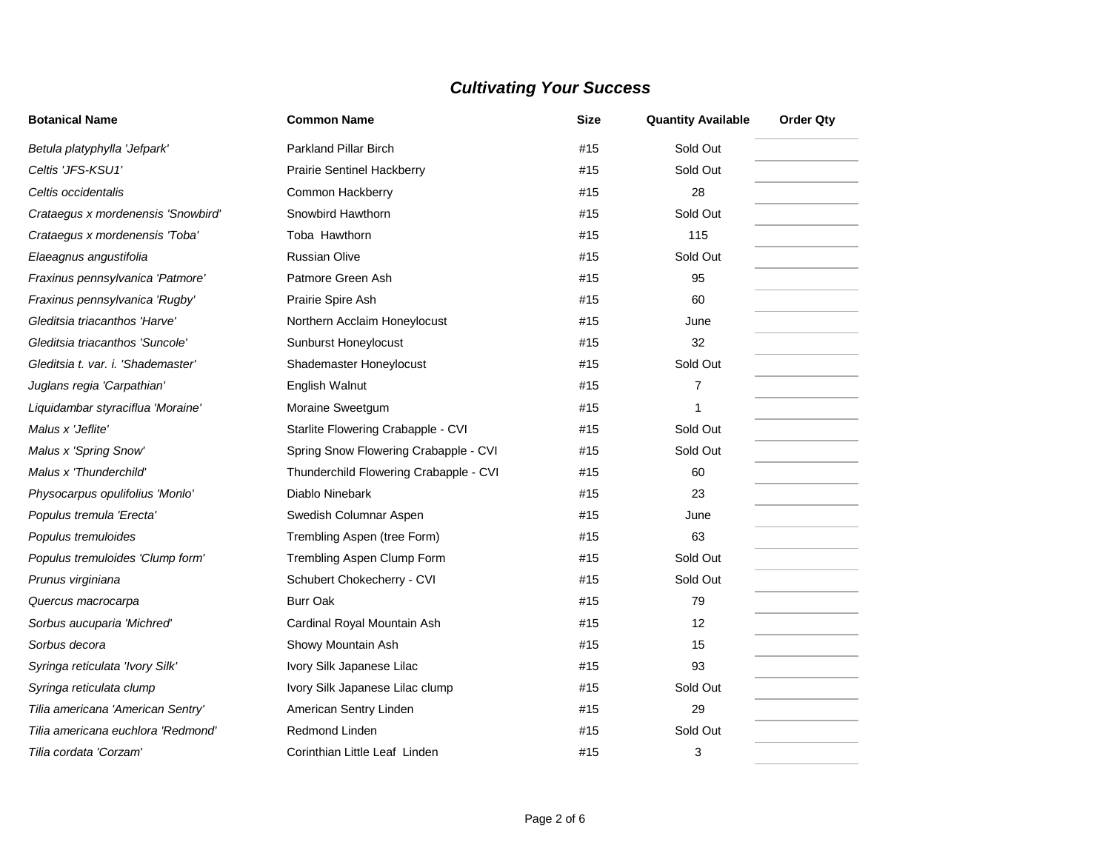| <b>Botanical Name</b>              | <b>Common Name</b>                     | Size | <b>Quantity Available</b> | <b>Order Qty</b> |
|------------------------------------|----------------------------------------|------|---------------------------|------------------|
| Betula platyphylla 'Jefpark'       | <b>Parkland Pillar Birch</b>           | #15  | Sold Out                  |                  |
| Celtis 'JFS-KSU1'                  | <b>Prairie Sentinel Hackberry</b>      | #15  | Sold Out                  |                  |
| Celtis occidentalis                | Common Hackberry                       | #15  | 28                        |                  |
| Crataegus x mordenensis 'Snowbird' | Snowbird Hawthorn                      | #15  | Sold Out                  |                  |
| Crataegus x mordenensis 'Toba'     | Toba Hawthorn                          | #15  | 115                       |                  |
| Elaeagnus angustifolia             | <b>Russian Olive</b>                   | #15  | Sold Out                  |                  |
| Fraxinus pennsylvanica 'Patmore'   | Patmore Green Ash                      | #15  | 95                        |                  |
| Fraxinus pennsylvanica 'Rugby'     | Prairie Spire Ash                      | #15  | 60                        |                  |
| Gleditsia triacanthos 'Harve'      | Northern Acclaim Honeylocust           | #15  | June                      |                  |
| Gleditsia triacanthos 'Suncole'    | <b>Sunburst Honeylocust</b>            | #15  | 32                        |                  |
| Gleditsia t. var. i. 'Shademaster' | Shademaster Honeylocust                | #15  | Sold Out                  |                  |
| Juglans regia 'Carpathian'         | English Walnut                         | #15  | 7                         |                  |
| Liquidambar styraciflua 'Moraine'  | Moraine Sweetgum                       | #15  | $\mathbf{1}$              |                  |
| Malus x 'Jeflite'                  | Starlite Flowering Crabapple - CVI     | #15  | Sold Out                  |                  |
| Malus x 'Spring Snow'              | Spring Snow Flowering Crabapple - CVI  | #15  | Sold Out                  |                  |
| Malus x 'Thunderchild'             | Thunderchild Flowering Crabapple - CVI | #15  | 60                        |                  |
| Physocarpus opulifolius 'Monlo'    | Diablo Ninebark                        | #15  | 23                        |                  |
| Populus tremula 'Erecta'           | Swedish Columnar Aspen                 | #15  | June                      |                  |
| Populus tremuloides                | Trembling Aspen (tree Form)            | #15  | 63                        |                  |
| Populus tremuloides 'Clump form'   | Trembling Aspen Clump Form             | #15  | Sold Out                  |                  |
| Prunus virginiana                  | Schubert Chokecherry - CVI             | #15  | Sold Out                  |                  |
| Quercus macrocarpa                 | Burr Oak                               | #15  | 79                        |                  |
| Sorbus aucuparia 'Michred'         | Cardinal Royal Mountain Ash            | #15  | 12                        |                  |
| Sorbus decora                      | Showy Mountain Ash                     | #15  | 15                        |                  |
| Syringa reticulata 'Ivory Silk'    | Ivory Silk Japanese Lilac              | #15  | 93                        |                  |
| Syringa reticulata clump           | Ivory Silk Japanese Lilac clump        | #15  | Sold Out                  |                  |
| Tilia americana 'American Sentry'  | American Sentry Linden                 | #15  | 29                        |                  |
| Tilia americana euchlora 'Redmond' | <b>Redmond Linden</b>                  | #15  | Sold Out                  |                  |
| Tilia cordata 'Corzam'             | Corinthian Little Leaf Linden          | #15  | 3                         |                  |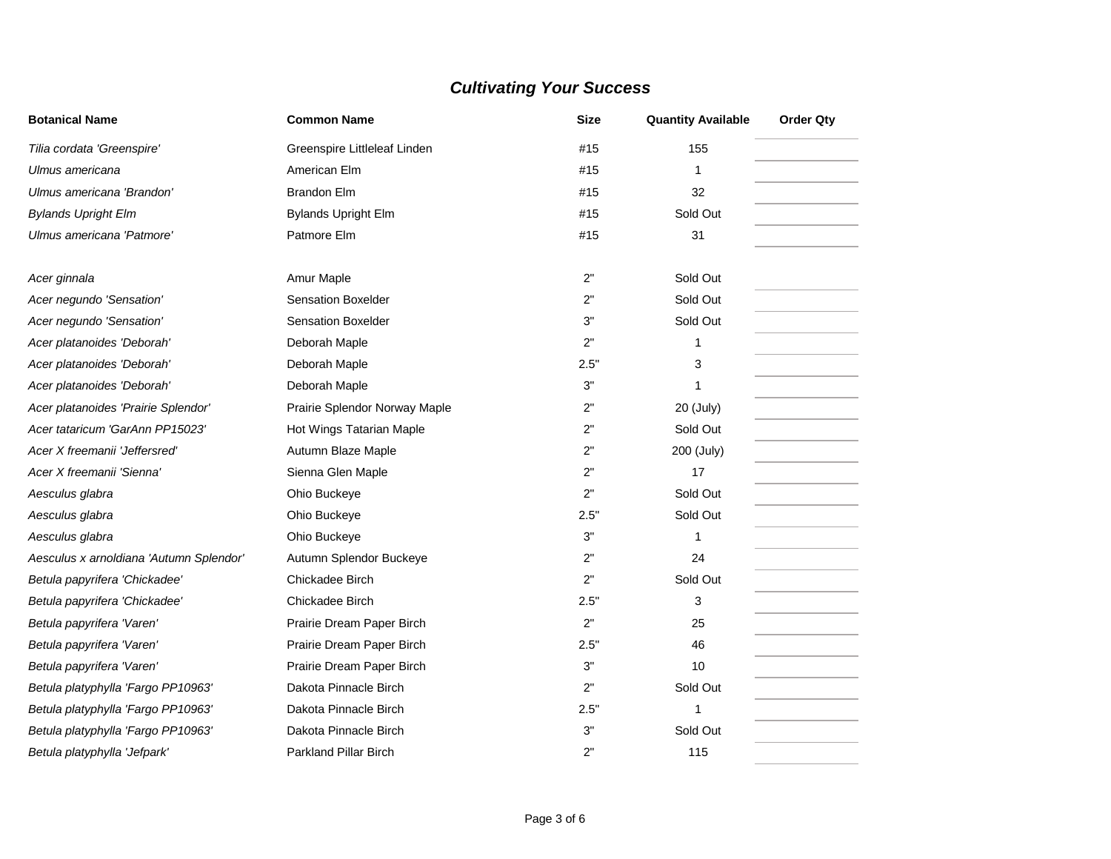| <b>Botanical Name</b>                   | <b>Common Name</b>            | Size | <b>Quantity Available</b> | <b>Order Qty</b> |
|-----------------------------------------|-------------------------------|------|---------------------------|------------------|
| Tilia cordata 'Greenspire'              | Greenspire Littleleaf Linden  | #15  | 155                       |                  |
| Ulmus americana                         | American Elm                  | #15  | 1                         |                  |
| Ulmus americana 'Brandon'               | <b>Brandon Elm</b>            | #15  | 32                        |                  |
| <b>Bylands Upright Elm</b>              | <b>Bylands Upright Elm</b>    | #15  | Sold Out                  |                  |
| Ulmus americana 'Patmore'               | Patmore Elm                   | #15  | 31                        |                  |
| Acer ginnala                            | Amur Maple                    | 2"   | Sold Out                  |                  |
| Acer negundo 'Sensation'                | <b>Sensation Boxelder</b>     | 2"   | Sold Out                  |                  |
| Acer negundo 'Sensation'                | <b>Sensation Boxelder</b>     | 3"   | Sold Out                  |                  |
| Acer platanoides 'Deborah'              | Deborah Maple                 | 2"   | 1                         |                  |
| Acer platanoides 'Deborah'              | Deborah Maple                 | 2.5" | 3                         |                  |
| Acer platanoides 'Deborah'              | Deborah Maple                 | 3"   | 1                         |                  |
| Acer platanoides 'Prairie Splendor'     | Prairie Splendor Norway Maple | 2"   | 20 (July)                 |                  |
| Acer tataricum 'GarAnn PP15023'         | Hot Wings Tatarian Maple      | 2"   | Sold Out                  |                  |
| Acer X freemanii 'Jeffersred'           | Autumn Blaze Maple            | 2"   | 200 (July)                |                  |
| Acer X freemanii 'Sienna'               | Sienna Glen Maple             | 2"   | 17                        |                  |
| Aesculus glabra                         | Ohio Buckeye                  | 2"   | Sold Out                  |                  |
| Aesculus glabra                         | Ohio Buckeye                  | 2.5" | Sold Out                  |                  |
| Aesculus glabra                         | Ohio Buckeye                  | 3"   | 1                         |                  |
| Aesculus x arnoldiana 'Autumn Splendor' | Autumn Splendor Buckeye       | 2"   | 24                        |                  |
| Betula papyrifera 'Chickadee'           | Chickadee Birch               | 2"   | Sold Out                  |                  |
| Betula papyrifera 'Chickadee'           | Chickadee Birch               | 2.5" | 3                         |                  |
| Betula papyrifera 'Varen'               | Prairie Dream Paper Birch     | 2"   | 25                        |                  |
| Betula papyrifera 'Varen'               | Prairie Dream Paper Birch     | 2.5" | 46                        |                  |
| Betula papyrifera 'Varen'               | Prairie Dream Paper Birch     | 3"   | 10                        |                  |
| Betula platyphylla 'Fargo PP10963'      | Dakota Pinnacle Birch         | 2"   | Sold Out                  |                  |
| Betula platyphylla 'Fargo PP10963'      | Dakota Pinnacle Birch         | 2.5" | 1                         |                  |
| Betula platyphylla 'Fargo PP10963'      | Dakota Pinnacle Birch         | 3"   | Sold Out                  |                  |
| Betula platyphylla 'Jefpark'            | <b>Parkland Pillar Birch</b>  | 2"   | 115                       |                  |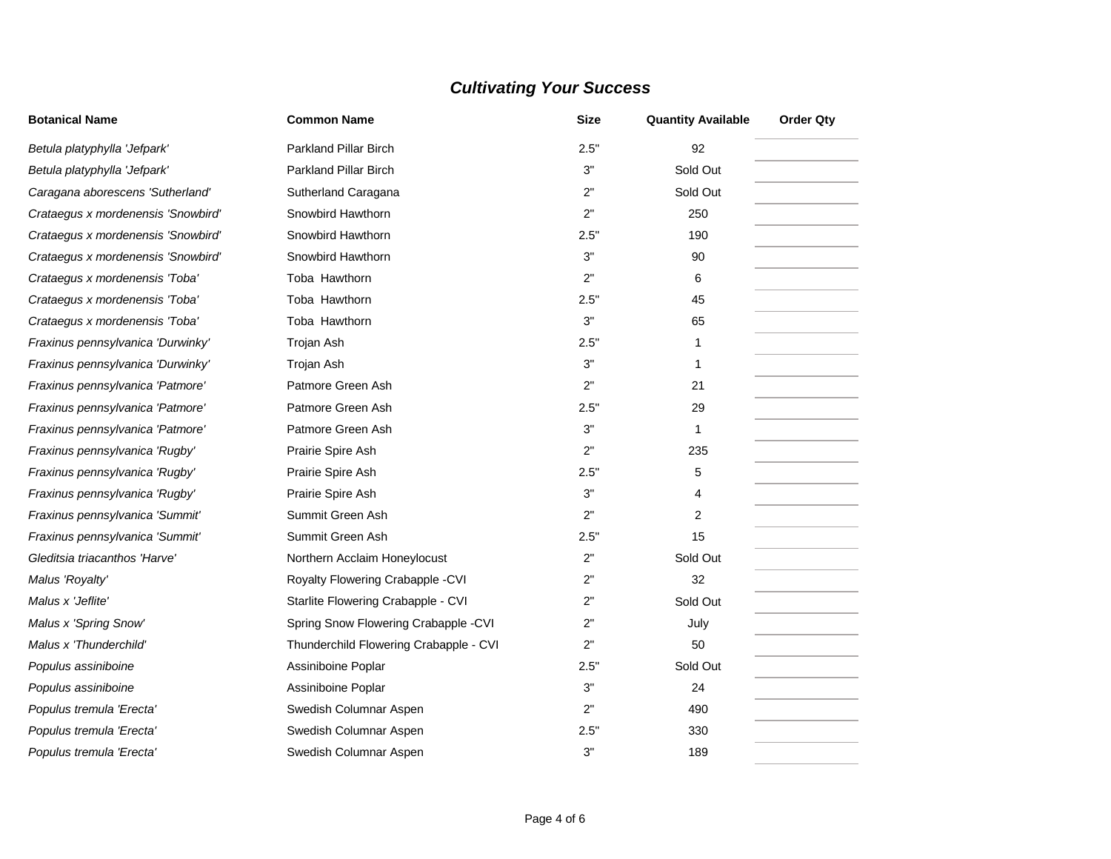| <b>Botanical Name</b>              | <b>Common Name</b>                     | <b>Size</b> | <b>Quantity Available</b> | <b>Order Qty</b> |  |
|------------------------------------|----------------------------------------|-------------|---------------------------|------------------|--|
| Betula platyphylla 'Jefpark'       | <b>Parkland Pillar Birch</b>           | 2.5"        | 92                        |                  |  |
| Betula platyphylla 'Jefpark'       | <b>Parkland Pillar Birch</b>           | 3"          | Sold Out                  |                  |  |
| Caragana aborescens 'Sutherland'   | Sutherland Caragana                    | 2"          | Sold Out                  |                  |  |
| Crataegus x mordenensis 'Snowbird' | Snowbird Hawthorn                      | 2"          | 250                       |                  |  |
| Crataegus x mordenensis 'Snowbird' | Snowbird Hawthorn                      | 2.5"        | 190                       |                  |  |
| Crataegus x mordenensis 'Snowbird' | Snowbird Hawthorn                      | 3"          | 90                        |                  |  |
| Crataegus x mordenensis 'Toba'     | Toba Hawthorn                          | 2"          | 6                         |                  |  |
| Crataegus x mordenensis 'Toba'     | Toba Hawthorn                          | 2.5"        | 45                        |                  |  |
| Crataegus x mordenensis 'Toba'     | Toba Hawthorn                          | 3"          | 65                        |                  |  |
| Fraxinus pennsylvanica 'Durwinky'  | Trojan Ash                             | 2.5"        | 1                         |                  |  |
| Fraxinus pennsylvanica 'Durwinky'  | Trojan Ash                             | 3"          | 1                         |                  |  |
| Fraxinus pennsylvanica 'Patmore'   | Patmore Green Ash                      | 2"          | 21                        |                  |  |
| Fraxinus pennsylvanica 'Patmore'   | Patmore Green Ash                      | 2.5"        | 29                        |                  |  |
| Fraxinus pennsylvanica 'Patmore'   | Patmore Green Ash                      | 3"          | 1                         |                  |  |
| Fraxinus pennsylvanica 'Rugby'     | Prairie Spire Ash                      | 2"          | 235                       |                  |  |
| Fraxinus pennsylvanica 'Rugby'     | Prairie Spire Ash                      | 2.5"        | 5                         |                  |  |
| Fraxinus pennsylvanica 'Rugby'     | Prairie Spire Ash                      | 3"          | 4                         |                  |  |
| Fraxinus pennsylvanica 'Summit'    | Summit Green Ash                       | 2"          | $\overline{2}$            |                  |  |
| Fraxinus pennsylvanica 'Summit'    | Summit Green Ash                       | 2.5"        | 15                        |                  |  |
| Gleditsia triacanthos 'Harve'      | Northern Acclaim Honeylocust           | 2"          | Sold Out                  |                  |  |
| Malus 'Royalty'                    | Royalty Flowering Crabapple - CVI      | 2"          | 32                        |                  |  |
| Malus x 'Jeflite'                  | Starlite Flowering Crabapple - CVI     | 2"          | Sold Out                  |                  |  |
| Malus x 'Spring Snow'              | Spring Snow Flowering Crabapple -CVI   | 2"          | July                      |                  |  |
| Malus x 'Thunderchild'             | Thunderchild Flowering Crabapple - CVI | 2"          | 50                        |                  |  |
| Populus assiniboine                | Assiniboine Poplar                     | 2.5"        | Sold Out                  |                  |  |
| Populus assiniboine                | Assiniboine Poplar                     | 3"          | 24                        |                  |  |
| Populus tremula 'Erecta'           | Swedish Columnar Aspen                 | 2"          | 490                       |                  |  |
| Populus tremula 'Erecta'           | Swedish Columnar Aspen                 | 2.5"        | 330                       |                  |  |
| Populus tremula 'Erecta'           | Swedish Columnar Aspen                 | 3"          | 189                       |                  |  |

٠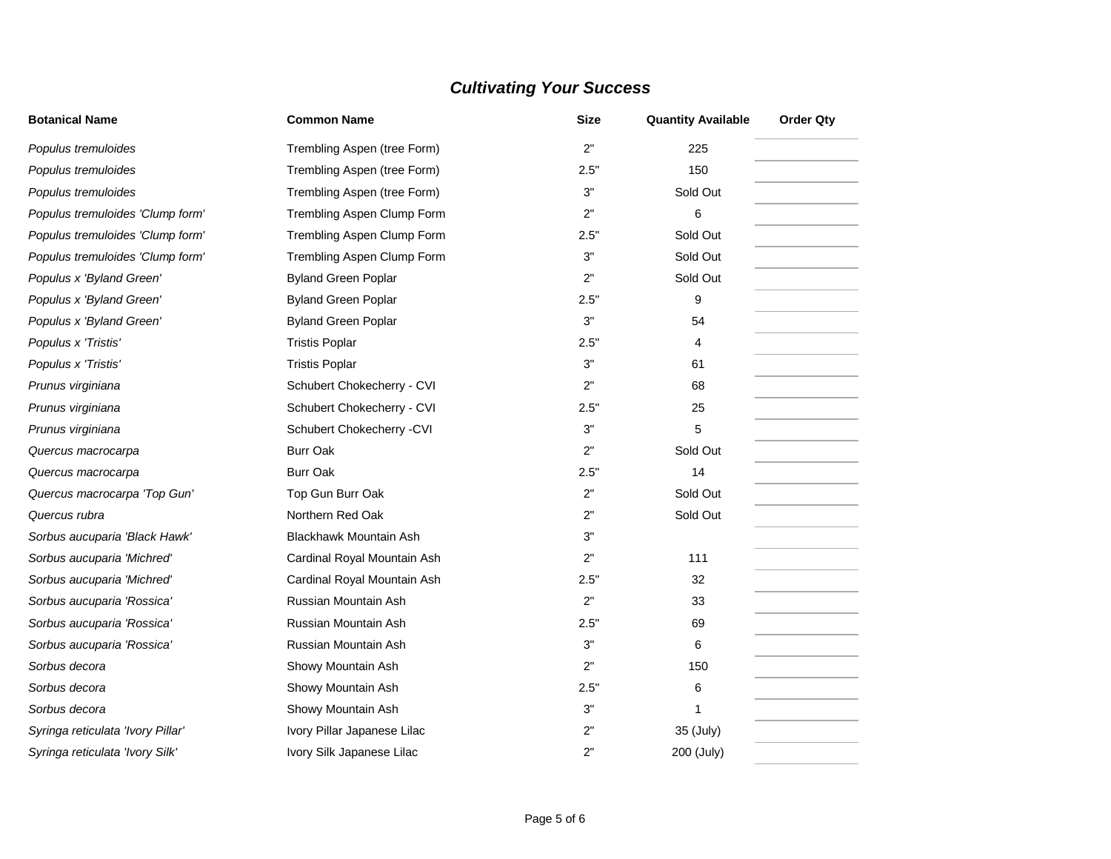| <b>Botanical Name</b>             | <b>Common Name</b>          | <b>Size</b> | <b>Quantity Available</b> | <b>Order Qty</b> |
|-----------------------------------|-----------------------------|-------------|---------------------------|------------------|
| Populus tremuloides               | Trembling Aspen (tree Form) | 2"          | 225                       |                  |
| Populus tremuloides               | Trembling Aspen (tree Form) | 2.5"        | 150                       |                  |
| Populus tremuloides               | Trembling Aspen (tree Form) | 3"          | Sold Out                  |                  |
| Populus tremuloides 'Clump form'  | Trembling Aspen Clump Form  | 2"          | 6                         |                  |
| Populus tremuloides 'Clump form'  | Trembling Aspen Clump Form  | 2.5"        | Sold Out                  |                  |
| Populus tremuloides 'Clump form'  | Trembling Aspen Clump Form  | 3"          | Sold Out                  |                  |
| Populus x 'Byland Green'          | <b>Byland Green Poplar</b>  | 2"          | Sold Out                  |                  |
| Populus x 'Byland Green'          | <b>Byland Green Poplar</b>  | 2.5"        | 9                         |                  |
| Populus x 'Byland Green'          | <b>Byland Green Poplar</b>  | 3"          | 54                        |                  |
| Populus x 'Tristis'               | <b>Tristis Poplar</b>       | 2.5"        | 4                         |                  |
| Populus x 'Tristis'               | <b>Tristis Poplar</b>       | 3"          | 61                        |                  |
| Prunus virginiana                 | Schubert Chokecherry - CVI  | 2"          | 68                        |                  |
| Prunus virginiana                 | Schubert Chokecherry - CVI  | 2.5"        | 25                        |                  |
| Prunus virginiana                 | Schubert Chokecherry - CVI  | 3"          | 5                         |                  |
| Quercus macrocarpa                | <b>Burr Oak</b>             | 2"          | Sold Out                  |                  |
| Quercus macrocarpa                | <b>Burr Oak</b>             | 2.5"        | 14                        |                  |
| Quercus macrocarpa 'Top Gun'      | Top Gun Burr Oak            | 2"          | Sold Out                  |                  |
| Quercus rubra                     | Northern Red Oak            | 2"          | Sold Out                  |                  |
| Sorbus aucuparia 'Black Hawk'     | Blackhawk Mountain Ash      | 3"          |                           |                  |
| Sorbus aucuparia 'Michred'        | Cardinal Royal Mountain Ash | 2"          | 111                       |                  |
| Sorbus aucuparia 'Michred'        | Cardinal Royal Mountain Ash | 2.5"        | 32                        |                  |
| Sorbus aucuparia 'Rossica'        | Russian Mountain Ash        | 2"          | 33                        |                  |
| Sorbus aucuparia 'Rossica'        | Russian Mountain Ash        | 2.5"        | 69                        |                  |
| Sorbus aucuparia 'Rossica'        | Russian Mountain Ash        | 3"          | 6                         |                  |
| Sorbus decora                     | Showy Mountain Ash          | 2"          | 150                       |                  |
| Sorbus decora                     | Showy Mountain Ash          | 2.5"        | 6                         |                  |
| Sorbus decora                     | Showy Mountain Ash          | 3"          | 1                         |                  |
| Syringa reticulata 'Ivory Pillar' | Ivory Pillar Japanese Lilac | 2"          | 35 (July)                 |                  |
| Syringa reticulata 'Ivory Silk'   | Ivory Silk Japanese Lilac   | 2"          | 200 (July)                |                  |